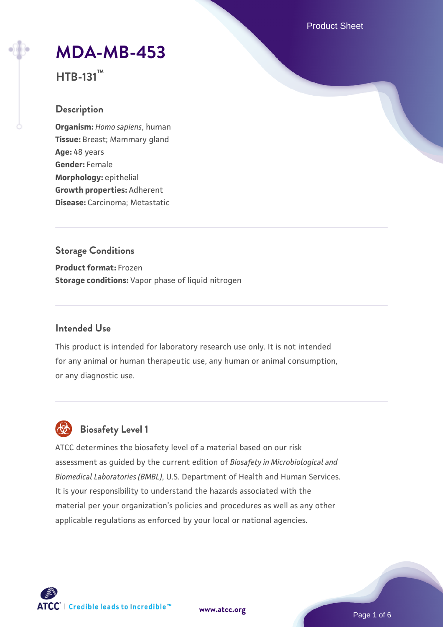Product Sheet

# **[MDA-MB-453](https://www.atcc.org/products/htb-131)**

**HTB-131™**

## **Description**

**Organism:** *Homo sapiens*, human **Tissue:** Breast; Mammary gland **Age:** 48 years **Gender:** Female **Morphology:** epithelial **Growth properties:** Adherent **Disease:** Carcinoma; Metastatic

## **Storage Conditions**

**Product format:** Frozen **Storage conditions:** Vapor phase of liquid nitrogen

## **Intended Use**

This product is intended for laboratory research use only. It is not intended for any animal or human therapeutic use, any human or animal consumption, or any diagnostic use.

## **Biosafety Level 1**

ATCC determines the biosafety level of a material based on our risk assessment as guided by the current edition of *Biosafety in Microbiological and Biomedical Laboratories (BMBL)*, U.S. Department of Health and Human Services. It is your responsibility to understand the hazards associated with the material per your organization's policies and procedures as well as any other applicable regulations as enforced by your local or national agencies.

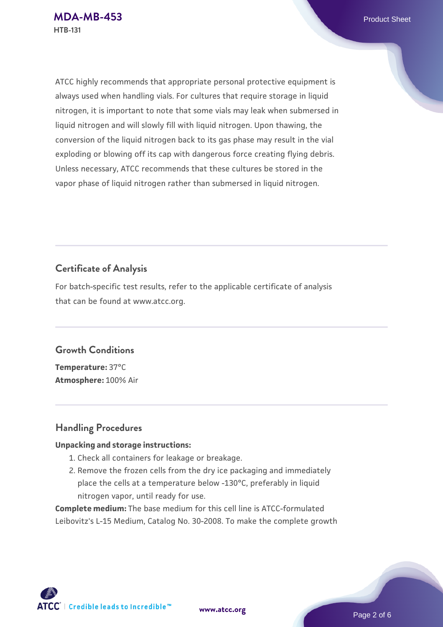ATCC highly recommends that appropriate personal protective equipment is always used when handling vials. For cultures that require storage in liquid nitrogen, it is important to note that some vials may leak when submersed in liquid nitrogen and will slowly fill with liquid nitrogen. Upon thawing, the conversion of the liquid nitrogen back to its gas phase may result in the vial exploding or blowing off its cap with dangerous force creating flying debris. Unless necessary, ATCC recommends that these cultures be stored in the vapor phase of liquid nitrogen rather than submersed in liquid nitrogen.

## **Certificate of Analysis**

For batch-specific test results, refer to the applicable certificate of analysis that can be found at www.atcc.org.

## **Growth Conditions**

**Temperature:** 37°C **Atmosphere:** 100% Air

## **Handling Procedures**

#### **Unpacking and storage instructions:**

- 1. Check all containers for leakage or breakage.
- 2. Remove the frozen cells from the dry ice packaging and immediately place the cells at a temperature below -130°C, preferably in liquid nitrogen vapor, until ready for use.

**Complete medium:** The base medium for this cell line is ATCC-formulated Leibovitz's L-15 Medium, Catalog No. 30-2008. To make the complete growth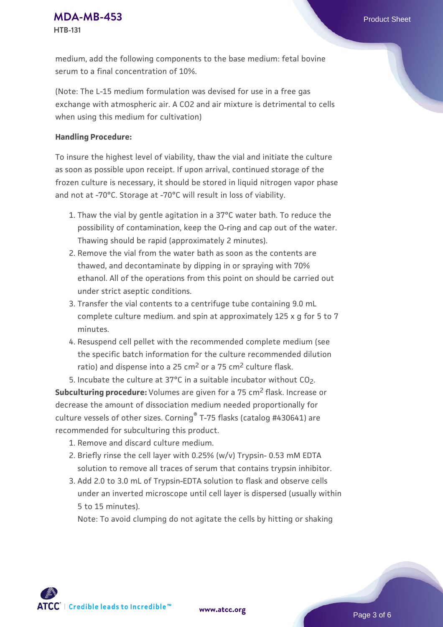**[MDA-MB-453](https://www.atcc.org/products/htb-131)** Product Sheet **HTB-131**

medium, add the following components to the base medium: fetal bovine serum to a final concentration of 10%.

(Note: The L-15 medium formulation was devised for use in a free gas exchange with atmospheric air. A CO2 and air mixture is detrimental to cells when using this medium for cultivation)

#### **Handling Procedure:**

To insure the highest level of viability, thaw the vial and initiate the culture as soon as possible upon receipt. If upon arrival, continued storage of the frozen culture is necessary, it should be stored in liquid nitrogen vapor phase and not at -70°C. Storage at -70°C will result in loss of viability.

- 1. Thaw the vial by gentle agitation in a 37°C water bath. To reduce the possibility of contamination, keep the O-ring and cap out of the water. Thawing should be rapid (approximately 2 minutes).
- 2. Remove the vial from the water bath as soon as the contents are thawed, and decontaminate by dipping in or spraying with 70% ethanol. All of the operations from this point on should be carried out under strict aseptic conditions.
- 3. Transfer the vial contents to a centrifuge tube containing 9.0 mL complete culture medium. and spin at approximately 125 x g for 5 to 7 minutes.
- 4. Resuspend cell pellet with the recommended complete medium (see the specific batch information for the culture recommended dilution ratio) and dispense into a 25  $\text{cm}^2$  or a 75  $\text{cm}^2$  culture flask.

5. Incubate the culture at  $37^{\circ}$ C in a suitable incubator without  $CO<sub>2</sub>$ . **Subculturing procedure:** Volumes are given for a 75 cm<sup>2</sup> flask. Increase or decrease the amount of dissociation medium needed proportionally for culture vessels of other sizes. Corning® T-75 flasks (catalog #430641) are recommended for subculturing this product.

- 1. Remove and discard culture medium.
- 2. Briefly rinse the cell layer with 0.25% (w/v) Trypsin- 0.53 mM EDTA solution to remove all traces of serum that contains trypsin inhibitor.
- 3. Add 2.0 to 3.0 mL of Trypsin-EDTA solution to flask and observe cells under an inverted microscope until cell layer is dispersed (usually within 5 to 15 minutes).

Note: To avoid clumping do not agitate the cells by hitting or shaking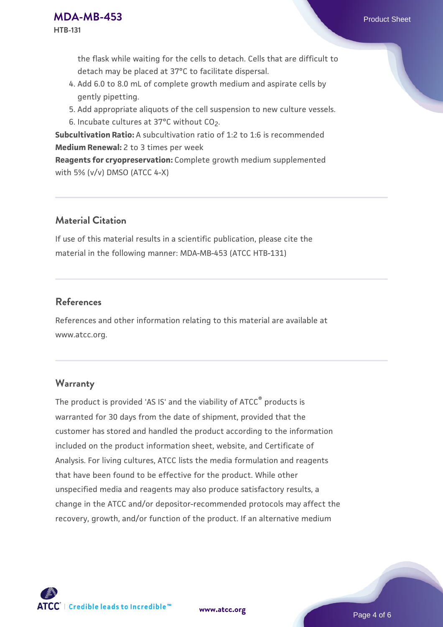the flask while waiting for the cells to detach. Cells that are difficult to detach may be placed at 37°C to facilitate dispersal.

- Add 6.0 to 8.0 mL of complete growth medium and aspirate cells by 4. gently pipetting.
- 5. Add appropriate aliquots of the cell suspension to new culture vessels.
- 6. Incubate cultures at 37°C without CO<sub>2</sub>.

**Subcultivation Ratio:** A subcultivation ratio of 1:2 to 1:6 is recommended **Medium Renewal:** 2 to 3 times per week

**Reagents for cryopreservation:** Complete growth medium supplemented with 5% (v/v) DMSO (ATCC 4-X)

## **Material Citation**

If use of this material results in a scientific publication, please cite the material in the following manner: MDA-MB-453 (ATCC HTB-131)

## **References**

References and other information relating to this material are available at www.atcc.org.

## **Warranty**

The product is provided 'AS IS' and the viability of ATCC<sup>®</sup> products is warranted for 30 days from the date of shipment, provided that the customer has stored and handled the product according to the information included on the product information sheet, website, and Certificate of Analysis. For living cultures, ATCC lists the media formulation and reagents that have been found to be effective for the product. While other unspecified media and reagents may also produce satisfactory results, a change in the ATCC and/or depositor-recommended protocols may affect the recovery, growth, and/or function of the product. If an alternative medium



**[www.atcc.org](http://www.atcc.org)**

Page 4 of 6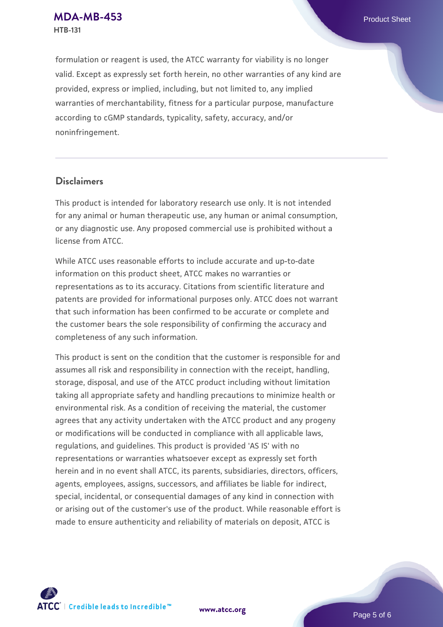formulation or reagent is used, the ATCC warranty for viability is no longer valid. Except as expressly set forth herein, no other warranties of any kind are provided, express or implied, including, but not limited to, any implied warranties of merchantability, fitness for a particular purpose, manufacture according to cGMP standards, typicality, safety, accuracy, and/or noninfringement.

## **Disclaimers**

This product is intended for laboratory research use only. It is not intended for any animal or human therapeutic use, any human or animal consumption, or any diagnostic use. Any proposed commercial use is prohibited without a license from ATCC.

While ATCC uses reasonable efforts to include accurate and up-to-date information on this product sheet, ATCC makes no warranties or representations as to its accuracy. Citations from scientific literature and patents are provided for informational purposes only. ATCC does not warrant that such information has been confirmed to be accurate or complete and the customer bears the sole responsibility of confirming the accuracy and completeness of any such information.

This product is sent on the condition that the customer is responsible for and assumes all risk and responsibility in connection with the receipt, handling, storage, disposal, and use of the ATCC product including without limitation taking all appropriate safety and handling precautions to minimize health or environmental risk. As a condition of receiving the material, the customer agrees that any activity undertaken with the ATCC product and any progeny or modifications will be conducted in compliance with all applicable laws, regulations, and guidelines. This product is provided 'AS IS' with no representations or warranties whatsoever except as expressly set forth herein and in no event shall ATCC, its parents, subsidiaries, directors, officers, agents, employees, assigns, successors, and affiliates be liable for indirect, special, incidental, or consequential damages of any kind in connection with or arising out of the customer's use of the product. While reasonable effort is made to ensure authenticity and reliability of materials on deposit, ATCC is



**[www.atcc.org](http://www.atcc.org)**

Page 5 of 6